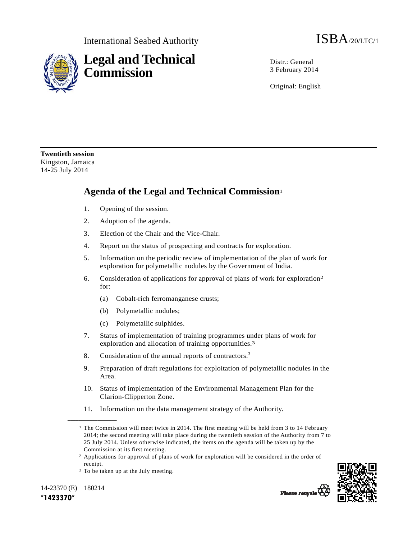

Distr · General 3 February 2014

Original: English

**Twentieth session**  Kingston, Jamaica 14-25 July 2014

## **Agenda of the Legal and Technical Commission**<sup>1</sup>

- 1. Opening of the session.
- 2. Adoption of the agenda.
- 3. Election of the Chair and the Vice-Chair.
- 4. Report on the status of prospecting and contracts for exploration.
- 5. Information on the periodic review of implementation of the plan of work for exploration for polymetallic nodules by the Government of India.
- 6. Consideration of applications for approval of plans of work for exploration2 for:
	- (a) Cobalt-rich ferromanganese crusts;
	- (b) Polymetallic nodules;
	- (c) Polymetallic sulphides.
- 7. Status of implementation of training programmes under plans of work for exploration and allocation of training opportunities.3
- 8. Consideration of the annual reports of contractors.<sup>3</sup>
- 9. Preparation of draft regulations for exploitation of polymetallic nodules in the Area.
- 10. Status of implementation of the Environmental Management Plan for the Clarion-Clipperton Zone.
- 11. Information on the data management strategy of the Authority.

14-23370 (E) 180214 **\*1423370\*** 

**\_\_\_\_\_\_\_\_\_\_\_\_\_\_\_\_\_\_** 



Please recycle

<sup>&</sup>lt;sup>1</sup> The Commission will meet twice in 2014. The first meeting will be held from 3 to 14 February 2014; the second meeting will take place during the twentieth session of the Authority from 7 to 25 July 2014. Unless otherwise indicated, the items on the agenda will be taken up by the Commission at its first meeting.

<sup>2</sup> Applications for approval of plans of work for exploration will be considered in the order of receipt.

<sup>&</sup>lt;sup>3</sup> To be taken up at the July meeting.